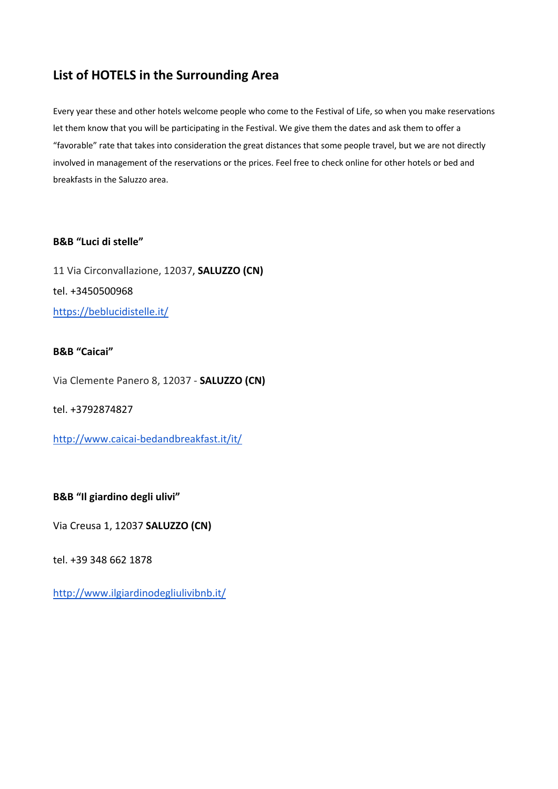# **List of HOTELS in the Surrounding Area**

Every year these and other hotels welcome people who come to the Festival of Life, so when you make reservations let them know that you will be participating in the Festival. We give them the dates and ask them to offer a "favorable" rate that takes into consideration the great distances that some people travel, but we are not directly involved in management of the reservations or the prices. Feel free to check online for other hotels or bed and breakfasts in the Saluzzo area.

## **B&B "Luci di stelle"**

11 Via Circonvallazione, 12037, **SALUZZO (CN)** tel. +3450500968 https://beblucidistelle.it/

#### **B&B "Caicai"**

Via Clemente Panero 8, 12037 - **SALUZZO (CN)**

tel. +3792874827

http://www.caicai-bedandbreakfast.it/it/

**B&B "Il giardino degli ulivi"**

Via Creusa 1, 12037 **SALUZZO (CN)** 

tel. +39 348 662 1878

http://www.ilgiardinodegliulivibnb.it/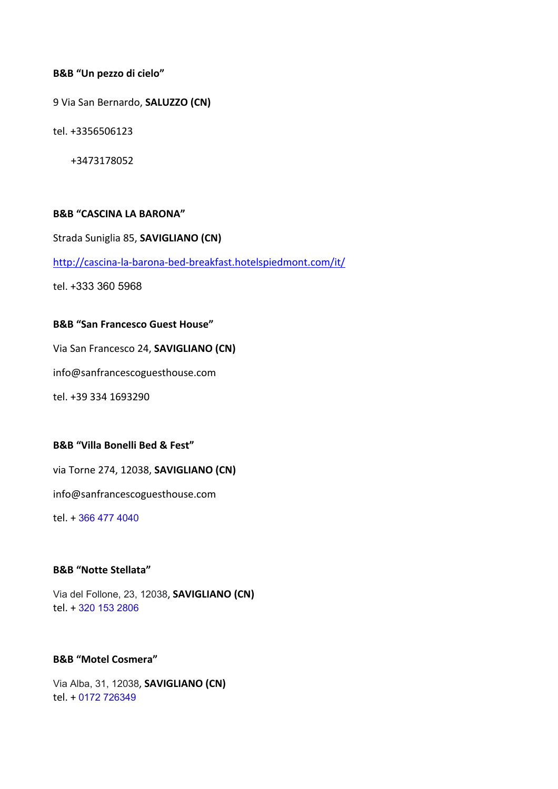#### **B&B "Un pezzo di cielo"**

9 Via San Bernardo, **SALUZZO (CN)**

tel. +3356506123

+3473178052

#### **B&B "CASCINA LA BARONA"**

Strada Suniglia 85, **SAVIGLIANO (CN)**

http://cascina-la-barona-bed-breakfast.hotelspiedmont.com/it/

tel. +333 360 5968

#### **B&B "San Francesco Guest House"**

Via San Francesco 24, **SAVIGLIANO (CN)**

info@sanfrancescoguesthouse.com

tel. +39 334 1693290

#### **B&B "Villa Bonelli Bed & Fest"**

via Torne 274, 12038, **SAVIGLIANO (CN)**

info@sanfrancescoguesthouse.com

tel. + 366 477 4040

### **B&B "Notte Stellata"**

Via del Follone, 23, 12038, **SAVIGLIANO (CN)** tel. + 320 153 2806

#### **B&B "Motel Cosmera"**

Via Alba, 31, 12038, **SAVIGLIANO (CN)** tel. + 0172 726349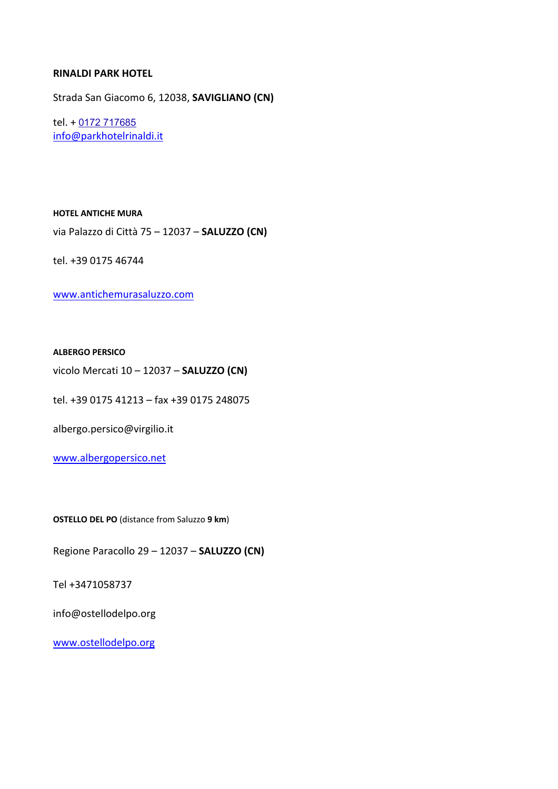#### **RINALDI PARK HOTEL**

Strada San Giacomo 6, 12038, **SAVIGLIANO (CN)**

tel. + 0172 717685 info@parkhotelrinaldi.it

**HOTEL ANTICHE MURA**

via Palazzo di Città 75 – 12037 – **SALUZZO (CN)**

tel. +39 0175 46744

www.antichemurasaluzzo.com

#### **ALBERGO PERSICO**

vicolo Mercati 10 – 12037 – **SALUZZO (CN)**

tel. +39 0175 41213 – fax +39 0175 248075

albergo.persico@virgilio.it

www.albergopersico.net

**OSTELLO DEL PO** (distance from Saluzzo **9 km**)

Regione Paracollo 29 – 12037 – **SALUZZO (CN)**

Tel +3471058737

info@ostellodelpo.org

www.ostellodelpo.org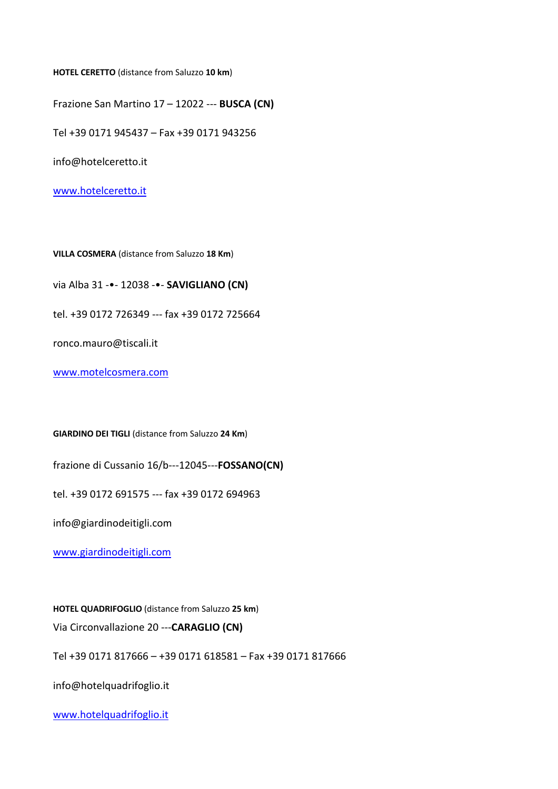**HOTEL CERETTO** (distance from Saluzzo **10 km**)

Frazione San Martino 17 – 12022 --- **BUSCA (CN)**

Tel +39 0171 945437 – Fax +39 0171 943256

info@hotelceretto.it

www.hotelceretto.it

**VILLA COSMERA** (distance from Saluzzo **18 Km**)

via Alba 31 -•- 12038 -•- **SAVIGLIANO (CN)**

tel. +39 0172 726349 --- fax +39 0172 725664

ronco.mauro@tiscali.it

www.motelcosmera.com

**GIARDINO DEI TIGLI** (distance from Saluzzo **24 Km**)

frazione di Cussanio 16/b---12045---**FOSSANO(CN)**

tel. +39 0172 691575 --- fax +39 0172 694963

info@giardinodeitigli.com

www.giardinodeitigli.com

**HOTEL QUADRIFOGLIO** (distance from Saluzzo **25 km**)

Via Circonvallazione 20 ---**CARAGLIO (CN)**

Tel +39 0171 817666 – +39 0171 618581 – Fax +39 0171 817666

info@hotelquadrifoglio.it

www.hotelquadrifoglio.it